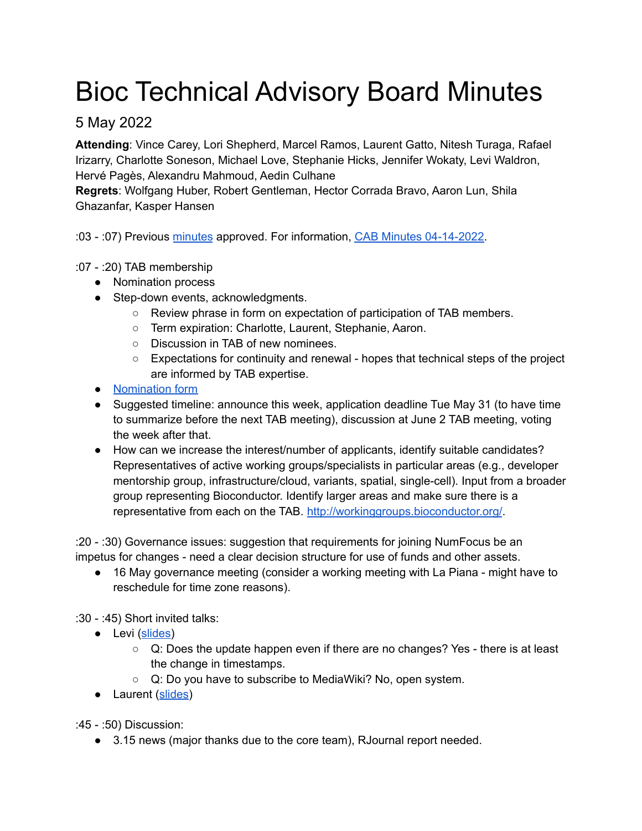## Bioc Technical Advisory Board Minutes

## 5 May 2022

**Attending**: Vince Carey, Lori Shepherd, Marcel Ramos, Laurent Gatto, Nitesh Turaga, Rafael Irizarry, Charlotte Soneson, Michael Love, Stephanie Hicks, Jennifer Wokaty, Levi Waldron, Hervé Pagès, Alexandru Mahmoud, Aedin Culhane

**Regrets**: Wolfgang Huber, Robert Gentleman, Hector Corrada Bravo, Aaron Lun, Shila Ghazanfar, Kasper Hansen

:03 - :07) Previous [minutes](https://bioconductor.org/about/technical-advisory-board/2022-04-07-minutes.pdf) approved. For information, CAB Minutes [04-14-2022.](https://bioconductor.org/about/community-advisory-board/2022-04-14-minutes.pdf)

## :07 - :20) TAB membership

- Nomination process
- Step-down events, acknowledgments.
	- Review phrase in form on expectation of participation of TAB members.
	- Term expiration: Charlotte, Laurent, Stephanie, Aaron.
	- Discussion in TAB of new nominees.
	- $\circ$  Expectations for continuity and renewal hopes that technical steps of the project are informed by TAB expertise.
- [Nomination](https://forms.gle/URvwYWm3ydtt8S2i9) form
- Suggested timeline: announce this week, application deadline Tue May 31 (to have time to summarize before the next TAB meeting), discussion at June 2 TAB meeting, voting the week after that.
- How can we increase the interest/number of applicants, identify suitable candidates? Representatives of active working groups/specialists in particular areas (e.g., developer mentorship group, infrastructure/cloud, variants, spatial, single-cell). Input from a broader group representing Bioconductor. Identify larger areas and make sure there is a representative from each on the TAB. <http://workinggroups.bioconductor.org/>.

:20 - :30) Governance issues: suggestion that requirements for joining NumFocus be an impetus for changes - need a clear decision structure for use of funds and other assets.

● 16 May governance meeting (consider a working meeting with La Piana - might have to reschedule for time zone reasons).

:30 - :45) Short invited talks:

- Levi ([slides\)](https://docs.google.com/presentation/d/e/2PACX-1vSwJ-QWH8uXcs0HnyC5nxElaZHyOvCrnC7xxUaqYR40EZhAhShQsju_Z8tOXQ-wfQ/pub?start=false&loop=false&delayms=60000)
	- $\circ$  Q: Does the update happen even if there are no changes? Yes there is at least the change in timestamps.
	- Q: Do you have to subscribe to MediaWiki? No, open system.
- Laurent ([slides](https://docs.google.com/presentation/d/1oi-_RYMyX1QnuswKklBsYEJRl9KgdG_zoHcWqVlorB0/edit?usp=sharing))

:45 - :50) Discussion:

● 3.15 news (major thanks due to the core team), RJournal report needed.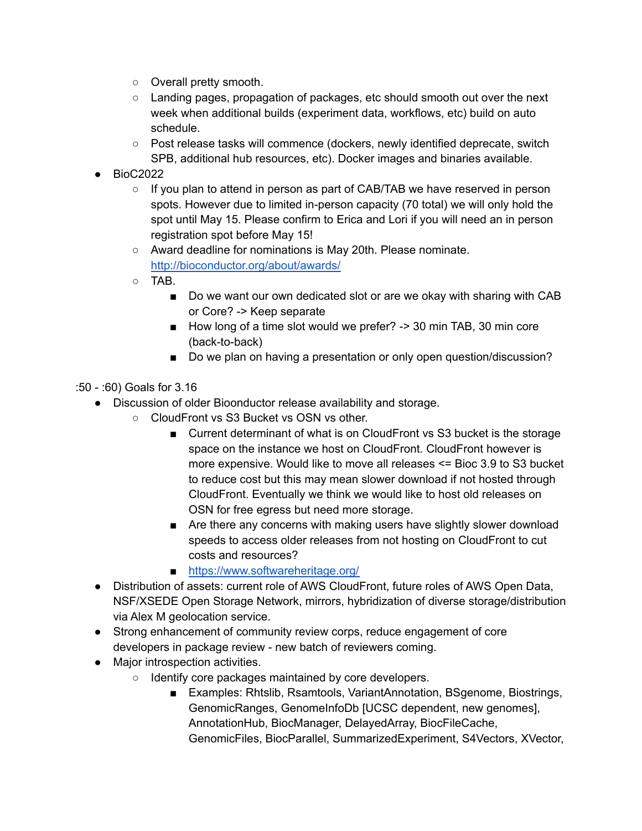- Overall pretty smooth.
- Landing pages, propagation of packages, etc should smooth out over the next week when additional builds (experiment data, workflows, etc) build on auto schedule.
- Post release tasks will commence (dockers, newly identified deprecate, switch SPB, additional hub resources, etc). Docker images and binaries available.
- **●** BioC2022
	- If you plan to attend in person as part of CAB/TAB we have reserved in person spots. However due to limited in-person capacity (70 total) we will only hold the spot until May 15. Please confirm to Erica and Lori if you will need an in person registration spot before May 15!
	- Award deadline for nominations is May 20th. Please nominate. <http://bioconductor.org/about/awards/>
	- $\circ$  TAB.
		- Do we want our own dedicated slot or are we okay with sharing with CAB or Core? -> Keep separate
		- How long of a time slot would we prefer? -> 30 min TAB, 30 min core (back-to-back)
		- Do we plan on having a presentation or only open question/discussion?
- :50 :60) Goals for 3.16
	- Discussion of older Bioonductor release availability and storage.
		- CloudFront vs S3 Bucket vs OSN vs other.
			- Current determinant of what is on CloudFront vs S3 bucket is the storage space on the instance we host on CloudFront. CloudFront however is more expensive. Would like to move all releases <= Bioc 3.9 to S3 bucket to reduce cost but this may mean slower download if not hosted through CloudFront. Eventually we think we would like to host old releases on OSN for free egress but need more storage.
			- Are there any concerns with making users have slightly slower download speeds to access older releases from not hosting on CloudFront to cut costs and resources?
			- <https://www.softwareheritage.org/>
	- Distribution of assets: current role of AWS CloudFront, future roles of AWS Open Data, NSF/XSEDE Open Storage Network, mirrors, hybridization of diverse storage/distribution via Alex M geolocation service.
	- Strong enhancement of community review corps, reduce engagement of core developers in package review - new batch of reviewers coming.
	- Major introspection activities.
		- Identify core packages maintained by core developers.
			- Examples: Rhtslib, Rsamtools, VariantAnnotation, BSgenome, Biostrings, GenomicRanges, GenomeInfoDb [UCSC dependent, new genomes], AnnotationHub, BiocManager, DelayedArray, BiocFileCache, GenomicFiles, BiocParallel, SummarizedExperiment, S4Vectors, XVector,